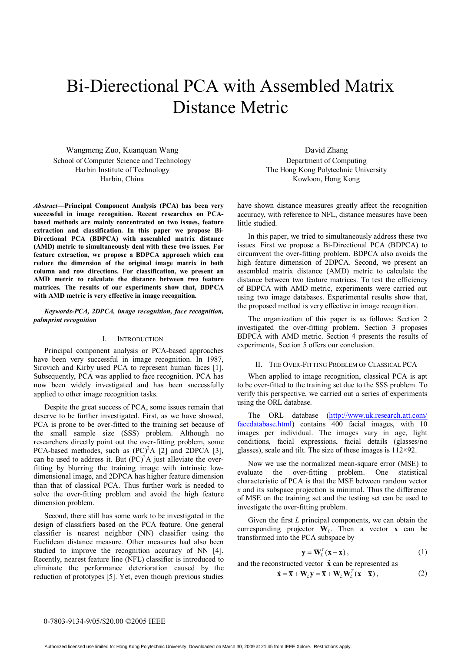# Bi-Dierectional PCA with Assembled Matrix Distance Metric

Wangmeng Zuo, Kuanquan Wang School of Computer Science and Technology Harbin Institute of Technology Harbin, China

*Abstract***—Principal Component Analysis (PCA) has been very successful in image recognition. Recent researches on PCAbased methods are mainly concentrated on two issues, feature extraction and classification. In this paper we propose Bi-Directional PCA (BDPCA) with assembled matrix distance (AMD) metric to simultaneously deal with these two issues. For feature extraction, we propose a BDPCA approach which can reduce the dimension of the original image matrix in both column and row directions. For classification, we present an AMD metric to calculate the distance between two feature matrices. The results of our experiments show that, BDPCA with AMD metric is very effective in image recognition.** 

## *Keywords-PCA, 2DPCA, image recognition, face recognition, palmprint recognition*

## I. INTRODUCTION

Principal component analysis or PCA-based approaches have been very successful in image recognition. In 1987, Sirovich and Kirby used PCA to represent human faces [1]. Subsequently, PCA was applied to face recognition. PCA has now been widely investigated and has been successfully applied to other image recognition tasks.

Despite the great success of PCA, some issues remain that deserve to be further investigated. First, as we have showed, PCA is prone to be over-fitted to the training set because of the small sample size (SSS) problem. Although no researchers directly point out the over-fitting problem, some PCA-based methodes, such as  $(PC)^2A$  [2] and 2DPCA [3], can be used to address it. But  $(PC)^2A$  just alleviate the overfitting by blurring the training image with intrinsic lowdimensional image, and 2DPCA has higher feature dimension than that of classical PCA. Thus further work is needed to solve the over-fitting problem and avoid the high feature dimension problem.

Second, there still has some work to be investigated in the design of classifiers based on the PCA feature. One general classifier is nearest neighbor (NN) classifier using the Euclidean distance measure. Other measures had also been studied to improve the recognition accuracy of NN [4]. Recently, nearest feature line (NFL) classifier is introduced to eliminate the performance deterioration caused by the reduction of prototypes [5]. Yet, even though previous studies

David Zhang Department of Computing The Hong Kong Polytechnic University Kowloon, Hong Kong

have shown distance measures greatly affect the recognition accuracy, with reference to NFL, distance measures have been little studied.

In this paper, we tried to simultaneously address these two issues. First we propose a Bi-Directional PCA (BDPCA) to circumvent the over-fitting problem. BDPCA also avoids the high feature dimension of 2DPCA. Second, we present an assembled matrix distance (AMD) metric to calculate the distance between two feature matrices. To test the efficiency of BDPCA with AMD metric, experiments were carried out using two image databases. Experimental results show that, the proposed method is very effective in image recognition.

The organization of this paper is as follows: Section 2 investigated the over-fitting problem. Section 3 proposes BDPCA with AMD metric. Section 4 presents the results of experiments, Section 5 offers our conclusion.

## II. THE OVER-FITTING PROBLEM OF CLASSICAL PCA

When applied to image recognition, classical PCA is apt to be over-fitted to the training set due to the SSS problem. To verify this perspective, we carried out a series of experiments using the ORL database.

The ORL database (http://www.uk.research.att.com/ facedatabase.html) contains 400 facial images, with 10 images per individual. The images vary in age, light conditions, facial expressions, facial details (glasses/no glasses), scale and tilt. The size of these images is 112×92.

Now we use the normalized mean-square error (MSE) to evaluate the over-fitting problem. One statistical characteristic of PCA is that the MSE between random vector *x* and its subspace projection is minimal. Thus the difference of MSE on the training set and the testing set can be used to investigate the over-fitting problem.

Given the first *L* principal components, we can obtain the corresponding projector  $W_L$ . Then a vector **x** can be transformed into the PCA subspace by

$$
\mathbf{y} = \mathbf{W}_L^T (\mathbf{x} - \overline{\mathbf{x}}), \tag{1}
$$

and the reconstructed vector  $\tilde{\mathbf{x}}$  can be represented as

$$
\tilde{\mathbf{x}} = \overline{\mathbf{x}} + \mathbf{W}_L \mathbf{y} = \overline{\mathbf{x}} + \mathbf{W}_L \mathbf{W}_L^T (\mathbf{x} - \overline{\mathbf{x}}),
$$
 (2)

## 0-7803-9134-9/05/\$20.00 ©2005 IEEE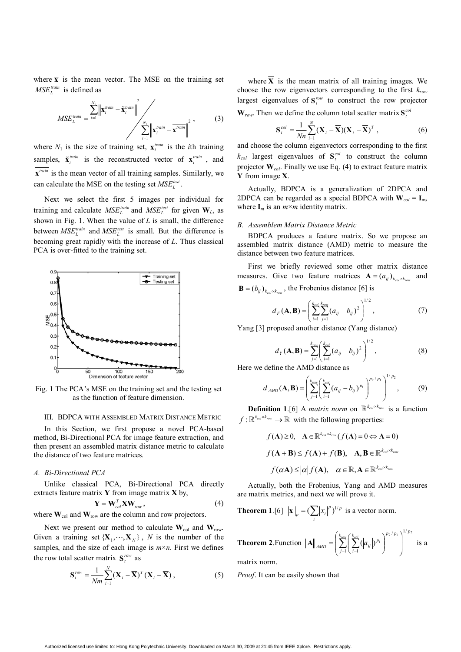where  $\bar{x}$  is the mean vector. The MSE on the training set  $MSE<sub>L</sub><sup>train</sup>$  is defined as

$$
MSE_L^{train} = \sum_{i=1}^{N_1} \left\| \mathbf{x}_i^{train} - \tilde{\mathbf{x}}_i^{train} \right\|^2 \left\| \mathbf{x}_i^{train} - \overline{\mathbf{x}}_i^{train} \right\|^2, \tag{3}
$$

where  $N_1$  is the size of training set,  $\mathbf{x}_i^{train}$  is the *i*th training samples,  $\tilde{\mathbf{x}}_i^{train}$  is the reconstructed vector of  $\mathbf{x}_i^{train}$ , and  $\mathbf{x}^{\text{train}}$  is the mean vector of all training samples. Similarly, we can calculate the MSE on the testing set  $MSE<sub>l</sub><sup>test</sup>$ .

Next we select the first 5 images per individual for training and calculate  $MSE_L^{train}$  and  $MSE_L^{test}$  for given  $W_L$ , as shown in Fig. 1. When the value of *L* is small, the difference between  $MSE_L^{train}$  and  $MSE_L^{test}$  is small. But the difference is becoming great rapidly with the increase of *L*. Thus classical PCA is over-fitted to the training set.



Fig. 1 The PCA's MSE on the training set and the testing set as the function of feature dimension.

## III. BDPCA WITH ASSEMBLED MATRIX DISTANCE METRIC

In this Section, we first propose a novel PCA-based method, Bi-Directional PCA for image feature extraction, and then present an assembled matrix distance metric to calculate the distance of two feature matrices.

### *A. Bi-Directional PCA*

Unlike classical PCA, Bi-Directional PCA directly extracts feature matrix **Y** from image matrix **X** by,

$$
\mathbf{Y} = \mathbf{W}_{col}^T \mathbf{X} \mathbf{W}_{row},
$$
 (4)

where  $W_{\text{col}}$  and  $W_{\text{row}}$  are the column and row projectors.

Next we present our method to calculate  $W_{col}$  and  $W_{row}$ . Given a training set  ${X_1, \dots, X_N}$ , *N* is the number of the samples, and the size of each image is  $m \times n$ . First we defines the row total scatter matrix  $S_t^{row}$  as

$$
\mathbf{S}_{t}^{row} = \frac{1}{Nm} \sum_{i=1}^{N} (\mathbf{X}_{i} - \overline{\mathbf{X}})^{T} (\mathbf{X}_{i} - \overline{\mathbf{X}}), \qquad (5)
$$

where  $\overline{X}$  is the mean matrix of all training images. We choose the row eigenvectors corresponding to the first *krow* largest eigenvalues of  $S_t^{row}$  to construct the row projector

 $W_{row}$ . Then we define the column total scatter matrix  $S_t^{col}$ 

$$
\mathbf{S}_{t}^{col} = \frac{1}{Nn} \sum_{i=1}^{N} (\mathbf{X}_{i} - \overline{\mathbf{X}})(\mathbf{X}_{i} - \overline{\mathbf{X}})^{T}, \qquad (6)
$$

and choose the column eigenvectors corresponding to the first  $k_{col}$  largest eigenvalues of  $S_t^{col}$  to construct the column projector **W***col*. Finally we use Eq. (4) to extract feature matrix **Y** from image **X**.

Actually, BDPCA is a generalization of 2DPCA and 2DPCA can be regarded as a special BDPCA with  $W_{col} = I_m$ , where  $I_m$  is an  $m \times m$  identity matrix.

#### *B. Assemblem Matrix Distance Metric*

BDPCA produces a feature matrix. So we propose an assembled matrix distance (AMD) metric to measure the distance between two feature matrices.

First we briefly reviewed some other matrix distance measures. Give two feature matrices  $\mathbf{A} = (a_{ij})_{k_{col} \times k_{row}}$  and  $\mathbf{B} = (b_{ij})_{k_{col} \times k_{row}}$ , the Frobenius distance [6] is

$$
d_F(\mathbf{A}, \mathbf{B}) = \left(\sum_{i=1}^{k_{col}} \sum_{j=1}^{k_{row}} (a_{ij} - b_{ij})^2\right)^{1/2},\tag{7}
$$

Yang [3] proposed another distance (Yang distance)

$$
d_Y(\mathbf{A}, \mathbf{B}) = \sum_{j=1}^{k_{\text{row}}} \left( \sum_{i=1}^{k_{\text{col}}} (a_{ij} - b_{ij})^2 \right)^{1/2}, \tag{8}
$$

 $\sqrt{1/n}$ 

Here we define the AMD distance as

$$
d_{\text{AMD}}(\mathbf{A}, \mathbf{B}) = \left(\sum_{j=1}^{k_{\text{conv}}} \left(\sum_{i=1}^{k_{\text{col}}} (a_{ij} - b_{ij})^{p_1}\right)^{p_2/p_1}\right)^{1/p_2},\qquad(9)
$$

**Definition 1**.[6] A *matrix norm* on  $\mathbb{R}^{k_{col} \times k_{row}}$  is a function  $f : \mathbb{R}^{k_{col} \times k_{row}} \rightarrow \mathbb{R}$  with the following properties:

$$
f(\mathbf{A}) \ge 0, \quad \mathbf{A} \in \mathbb{R}^{k_{col} \times k_{row}} (f(\mathbf{A}) = 0 \Leftrightarrow \mathbf{A} = 0)
$$

$$
f(\mathbf{A} + \mathbf{B}) \le f(\mathbf{A}) + f(\mathbf{B}), \quad \mathbf{A}, \mathbf{B} \in \mathbb{R}^{k_{col} \times k_{row}}
$$

$$
f(\alpha \mathbf{A}) \le |\alpha| f(\mathbf{A}), \quad \alpha \in \mathbb{R}, \mathbf{A} \in \mathbb{R}^{k_{col} \times k_{row}}
$$

Actually, both the Frobenius, Yang and AMD measures are matrix metrics, and next we will prove it.

**Theorem 1.**[6] 
$$
\|\mathbf{x}\|_p = \left(\sum_i |x_i|^p\right)^{1/p}
$$
 is a vector norm.

**Theorem 2**.Function  $p_2$  /  $p_1$   $\bigvee^{17}$   $p_2$ 1 / $p_1$ <sup>1/</sup>  $-1 \setminus i=1$  $(|a_{ii}|)$  $k_{row}$   $(k_{col}$   $\frac{p_2}{p_1})^{1/P}$ *j k i*  $_{\textit{AMD}} = \left| \sum \right| \sum (a_{ij}|)^p$  $\sum_{i=1}^{r_{\text{row}}} \left( \sum_{j=1}^{K_{\text{col}}} (\left| a_{ij} \right|)^{p_1} \right)^{1/2}$ ⎠ ⎞  $\overline{a}$  $\mathsf I$ ⎝  $\sqrt{ }$  $\overline{\phantom{a}}$ ⎠ ⎞  $\parallel$  $\mathbf{A}\big|_{AMD} = \left( \sum_{j=1}^{k_{row}} \left( \sum_{i=1}^{k_{col}} (|a_{ij}|)^{p_1} \right)^{p_2/p_1} \right)$  is a

matrix norm.

*Proof*. It can be easily shown that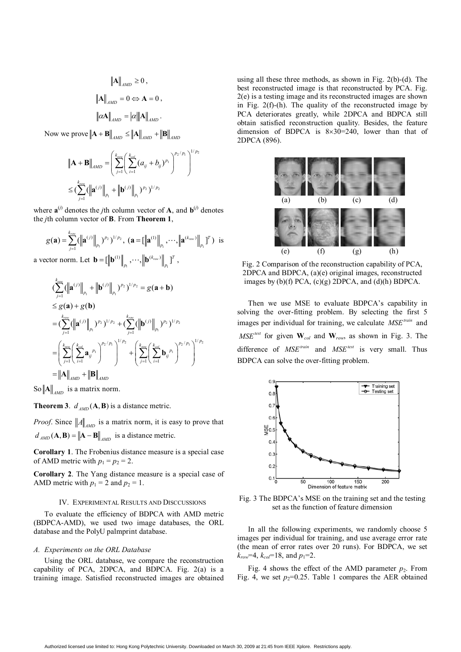$$
\|\mathbf{A}\|_{\text{AMD}} \ge 0,
$$
  

$$
\|\mathbf{A}\|_{\text{AMD}} = 0 \Leftrightarrow \mathbf{A} = 0,
$$
  

$$
\|\alpha \mathbf{A}\|_{\text{AMD}} = |\alpha| \|\mathbf{A}\|_{\text{AMD}}.
$$

Now we prove  $\|\mathbf{A} + \mathbf{B}\|_{AND} \leq \|\mathbf{A}\|_{AND} + \|\mathbf{B}\|_{AND}$ 

$$
\|\mathbf{A} + \mathbf{B}\|_{AMD} = \left(\sum_{j=1}^{k_{\text{row}}} \left(\sum_{i=1}^{k_{\text{col}}} (a_{ij} + b_{ij})^{p_1}\right)^{p_2/p_1}\right)^{1/p_2}
$$
  

$$
\leq \left(\sum_{j=1}^{k_{\text{row}}} (\|\mathbf{a}^{(j)}\|_{p_1} + \|\mathbf{b}^{(j)}\|_{p_1})^{p_2}\right)^{1/p_2}
$$

where  $\mathbf{a}^{(j)}$  denotes the *j*th column vector of **A**, and  $\mathbf{b}^{(j)}$  denotes the *j*th column vector of **B**. From **Theorem 1**,

$$
g(\mathbf{a}) = \sum_{j=1}^{k_{\text{row}}} (\|\mathbf{a}^{(j)}\|_{p_1})^{p_2})^{1/p_2}, \ (\mathbf{a} = [\|\mathbf{a}^{(1)}\|_{p_1}, \cdots, \|\mathbf{a}^{(k_{\text{row}})}\|_{p_1}]^T) \text{ is}
$$

a vector norm. Let  $\mathbf{b} = [\|\mathbf{b}^{(1)}\|_{p_1}, \cdots, \|\mathbf{b}^{(k_{row})}\|_{p_1}]^T$ ,

$$
\sum_{j=1}^{k_{\text{row}}} (\left\| \mathbf{a}^{(j)} \right\|_{p_1} + \left\| \mathbf{b}^{(j)} \right\|_{p_1})^{p_2} )^{1/p_2} = g(\mathbf{a} + \mathbf{b})
$$
  
\n
$$
\leq g(\mathbf{a}) + g(\mathbf{b})
$$
  
\n
$$
= (\sum_{j=1}^{k_{\text{row}}} (\left\| \mathbf{a}^{(j)} \right\|_{p_1})^{p_2} )^{1/p_2} + (\sum_{j=1}^{k_{\text{row}}} (\left\| \mathbf{b}^{(j)} \right\|_{p_1})^{p_2} )^{1/p_2}
$$
  
\n
$$
= \left( \sum_{j=1}^{k_{\text{row}}} (\sum_{i=1}^{k_{\text{row}}} \mathbf{a}_{ij}^{p_1})^{p_2/p_1} \right)^{1/p_2} + \left( \sum_{j=1}^{k_{\text{row}}} (\sum_{i=1}^{k_{\text{row}}} \mathbf{b}_{ij}^{p_1})^{p_2/p_1} \right)^{1/p_2}
$$
  
\n
$$
= \left\| \mathbf{A} \right\|_{\text{AMD}} + \left\| \mathbf{B} \right\|_{\text{AMD}}
$$

So  $\|\mathbf{A}\|_{\text{AMD}}$  is a matrix norm.

**Theorem 3.**  $d_{AMD}$  (**A**, **B**) is a distance metric.

*Proof.* Since  $||A||_{AD}$  is a matrix norm, it is easy to prove that  $d_{\text{AMD}}(\mathbf{A}, \mathbf{B}) = ||\mathbf{A} - \mathbf{B}||_{\text{AMD}}$  is a distance metric.

**Corollary 1**. The Frobenius distance measure is a special case of AMD metric with  $p_1 = p_2 = 2$ .

**Corollary 2**. The Yang distance measure is a special case of AMD metric with  $p_1 = 2$  and  $p_2 = 1$ .

## IV. EXPERIMENTAL RESULTS AND DISCCUSSIONS

To evaluate the efficiency of BDPCA with AMD metric (BDPCA-AMD), we used two image databases, the ORL database and the PolyU palmprint database.

## *A. Experiments on the ORL Database*

Using the ORL database, we compare the reconstruction capability of PCA, 2DPCA, and BDPCA. Fig. 2(a) is a training image. Satisfied reconstructed images are obtained using all these three methods, as shown in Fig. 2(b)-(d). The best reconstructed image is that reconstructed by PCA. Fig. 2(e) is a testing image and its reconstructed images are shown in Fig. 2(f)-(h). The quality of the reconstructed image by PCA deteriorates greatly, while 2DPCA and BDPCA still obtain satisfied reconstruction quality. Besides, the feature dimension of BDPCA is  $8 \times 30 = 240$ , lower than that of 2DPCA (896).



Fig. 2 Comparison of the reconstruction capability of PCA, 2DPCA and BDPCA, (a)(e) original images, reconstructed images by  $(b)(f)$  PCA,  $(c)(g)$  2DPCA, and  $(d)(h)$  BDPCA.

Then we use MSE to evaluate BDPCA's capability in solving the over-fitting problem. By selecting the first 5 images per individual for training, we calculate  $MSE^{train}$  and  $MSE^{test}$  for given  $\mathbf{W}_{col}$  and  $\mathbf{W}_{row}$ , as shown in Fig. 3. The difference of  $MSE^{train}$  and  $MSE^{test}$  is very small. Thus BDPCA can solve the over-fitting problem.



Fig. 3 The BDPCA's MSE on the training set and the testing set as the function of feature dimension

In all the following experiments, we randomly choose 5 images per individual for training, and use average error rate (the mean of error rates over 20 runs). For BDPCA, we set  $k_{row}=4$ ,  $k_{col}=18$ , and  $p_1=2$ .

Fig. 4 shows the effect of the AMD parameter  $p_2$ . From Fig. 4, we set  $p_2=0.25$ . Table 1 compares the AER obtained